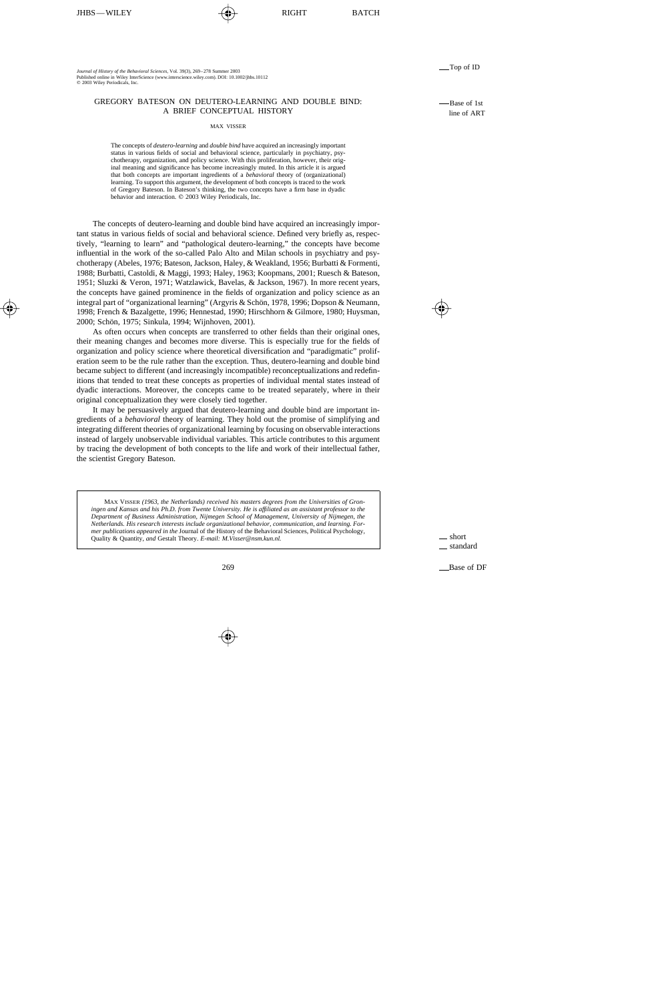# GREGORY BATESON ON DEUTERO-LEARNING AND DOUBLE BIND: A BRIEF CONCEPTUAL HISTORY

#### MAX VISSER

The concepts of *deutero-learning* and *double bind* have acquired an increasingly important status in various fields of social and behavioral science, particularly in psychiatry, psychotherapy, organization, and policy science. With this proliferation, however, their original meaning and significance has become increasingly muted. In this article it is argued that both concepts are important ingredients of a *behavioral* theory of (organizational) learning. To support this argument, the development of both concepts is traced to the work of Gregory Bateson. In Bateson's thinking, the two concepts have a firm base in dyadic behavior and interaction.  $©$  2003 Wiley Periodicals, Inc.

The concepts of deutero-learning and double bind have acquired an increasingly important status in various fields of social and behavioral science. Defined very briefly as, respectively, "learning to learn" and "pathological deutero-learning," the concepts have become influential in the work of the so-called Palo Alto and Milan schools in psychiatry and psychotherapy (Abeles, 1976; Bateson, Jackson, Haley, & Weakland, 1956; Burbatti & Formenti, 1988; Burbatti, Castoldi, & Maggi, 1993; Haley, 1963; Koopmans, 2001; Ruesch & Bateson, 1951; Sluzki & Veron, 1971; Watzlawick, Bavelas, & Jackson, 1967). In more recent years, the concepts have gained prominence in the fields of organization and policy science as an integral part of "organizational learning" (Argyris & Schön, 1978, 1996; Dopson & Neumann, 1998; French & Bazalgette, 1996; Hennestad, 1990; Hirschhorn & Gilmore, 1980; Huysman, 2000; Schön, 1975; Sinkula, 1994; Wijnhoven, 2001).

As often occurs when concepts are transferred to other fields than their original ones, their meaning changes and becomes more diverse. This is especially true for the fields of organization and policy science where theoretical diversification and "paradigmatic" proliferation seem to be the rule rather than the exception. Thus, deutero-learning and double bind became subject to different (and increasingly incompatible) reconceptualizations and redefinitions that tended to treat these concepts as properties of individual mental states instead of dyadic interactions. Moreover, the concepts came to be treated separately, where in their original conceptualization they were closely tied together.

It may be persuasively argued that deutero-learning and double bind are important ingredients of a *behavioral* theory of learning. They hold out the promise of simplifying and integrating different theories of organizational learning by focusing on observable interactions instead of largely unobservable individual variables. This article contributes to this argument by tracing the development of both concepts to the life and work of their intellectual father, the scientist Gregory Bateson.

MAX VISSER *(1963, the Netherlands) received his masters degrees from the Universities of Groningen and Kansas and his Ph.D. from Twente University. He is affiliated as an assistant professor to the Department of Business Administration, Nijmegen School of Management, University of Nijmegen, the Netherlands. His research interests include organizational behavior, communication, and learning. Former publications appeared in the* Journal of the History of the Behavioral Sciences, Political Psychology, Quality & Quantity, *and* Gestalt Theory. *E-mail: M.Visser@nsm.kun.nl.*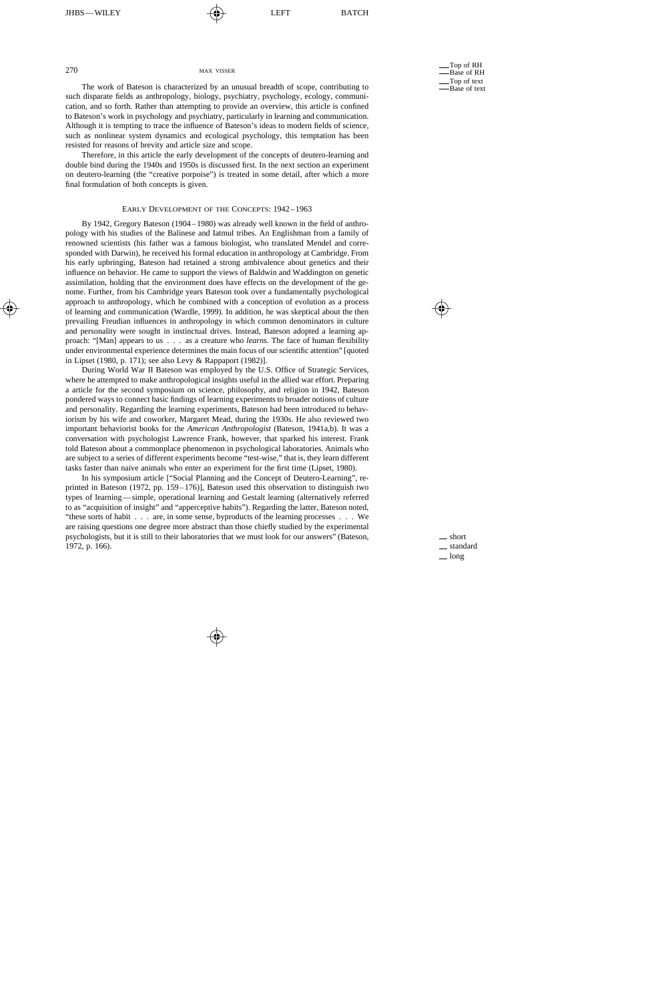270 MAX VISSER

The work of Bateson is characterized by an unusual breadth of scope, contributing to such disparate fields as anthropology, biology, psychiatry, psychology, ecology, communication, and so forth. Rather than attempting to provide an overview, this article is confined to Bateson's work in psychology and psychiatry, particularly in learning and communication. Although it is tempting to trace the influence of Bateson's ideas to modern fields of science, such as nonlinear system dynamics and ecological psychology, this temptation has been resisted for reasons of brevity and article size and scope.

Therefore, in this article the early development of the concepts of deutero-learning and double bind during the 1940s and 1950s is discussed first. In the next section an experiment on deutero-learning (the "creative porpoise") is treated in some detail, after which a more final formulation of both concepts is given.

## EARLY DEVELOPMENT OF THE CONCEPTS: 1942-1963

By 1942, Gregory Bateson (1904 – 1980) was already well known in the field of anthropology with his studies of the Balinese and Iatmul tribes. An Englishman from a family of renowned scientists (his father was a famous biologist, who translated Mendel and corresponded with Darwin), he received his formal education in anthropology at Cambridge. From his early upbringing, Bateson had retained a strong ambivalence about genetics and their influence on behavior. He came to support the views of Baldwin and Waddington on genetic assimilation, holding that the environment does have effects on the development of the genome. Further, from his Cambridge years Bateson took over a fundamentally psychological approach to anthropology, which he combined with a conception of evolution as a process of learning and communication (Wardle, 1999). In addition, he was skeptical about the then prevailing Freudian influences in anthropology in which common denominators in culture and personality were sought in instinctual drives. Instead, Bateson adopted a learning approach: "[Man] appears to us . . . as a creature who *learns.* The face of human flexibility under environmental experience determines the main focus of our scientific attention" [quoted in Lipset (1980, p. 171); see also Levy & Rappaport (1982)].

During World War II Bateson was employed by the U.S. Office of Strategic Services, where he attempted to make anthropological insights useful in the allied war effort. Preparing a article for the second symposium on science, philosophy, and religion in 1942, Bateson pondered ways to connect basic findings of learning experiments to broader notions of culture and personality. Regarding the learning experiments, Bateson had been introduced to behaviorism by his wife and coworker, Margaret Mead, during the 1930s. He also reviewed two important behaviorist books for the *American Anthropologist* (Bateson, 1941a,b). It was a conversation with psychologist Lawrence Frank, however, that sparked his interest. Frank told Bateson about a commonplace phenomenon in psychological laboratories. Animals who are subject to a series of different experiments become "test-wise," that is, they learn different tasks faster than naive animals who enter an experiment for the first time (Lipset, 1980).

In his symposium article ["Social Planning and the Concept of Deutero-Learning", reprinted in Bateson (1972, pp. 159–176)], Bateson used this observation to distinguish two types of learning— simple, operational learning and Gestalt learning (alternatively referred to as "acquisition of insight" and "apperceptive habits"). Regarding the latter, Bateson noted, "these sorts of habit  $\dots$  are, in some sense, byproducts of the learning processes  $\dots$ . We are raising questions one degree more abstract than those chiefly studied by the experimental psychologists, but it is still to their laboratories that we must look for our answers" (Bateson, 1972, p. 166).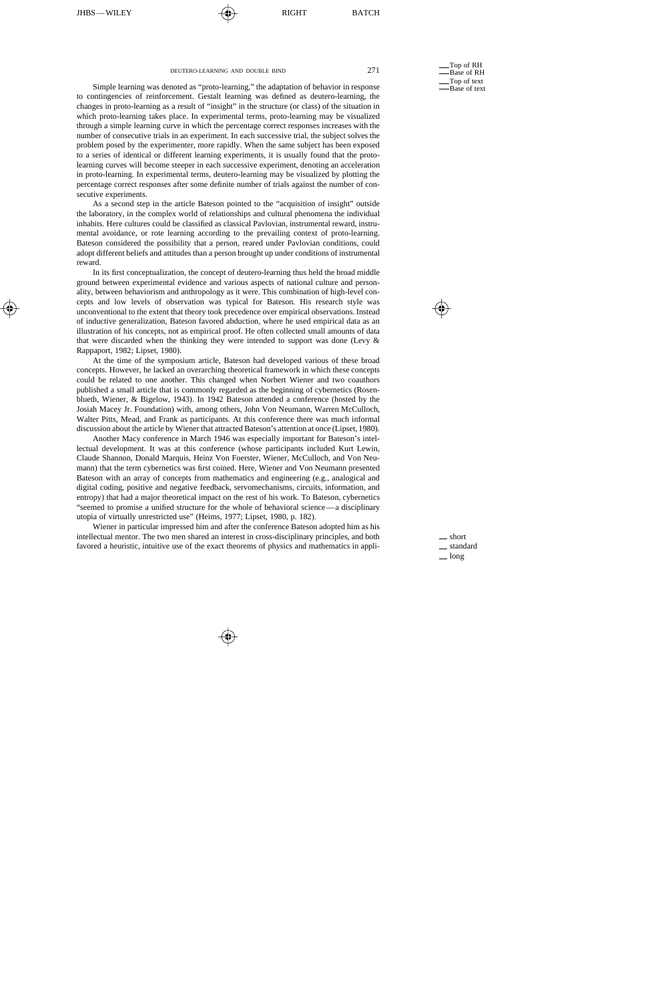Simple learning was denoted as "proto-learning," the adaptation of behavior in response to contingencies of reinforcement. Gestalt learning was defined as deutero-learning, the changes in proto-learning as a result of "insight" in the structure (or class) of the situation in which proto-learning takes place. In experimental terms, proto-learning may be visualized through a simple learning curve in which the percentage correct responses increases with the number of consecutive trials in an experiment. In each successive trial, the subject solves the problem posed by the experimenter, more rapidly. When the same subject has been exposed to a series of identical or different learning experiments, it is usually found that the protolearning curves will become steeper in each successive experiment, denoting an acceleration in proto-learning. In experimental terms, deutero-learning may be visualized by plotting the percentage correct responses after some definite number of trials against the number of consecutive experiments.

As a second step in the article Bateson pointed to the "acquisition of insight" outside the laboratory, in the complex world of relationships and cultural phenomena the individual inhabits. Here cultures could be classified as classical Pavlovian, instrumental reward, instrumental avoidance, or rote learning according to the prevailing context of proto-learning. Bateson considered the possibility that a person, reared under Pavlovian conditions, could adopt different beliefs and attitudes than a person brought up under conditions of instrumental reward.

In its first conceptualization, the concept of deutero-learning thus held the broad middle ground between experimental evidence and various aspects of national culture and personality, between behaviorism and anthropology as it were. This combination of high-level concepts and low levels of observation was typical for Bateson. His research style was unconventional to the extent that theory took precedence over empirical observations. Instead of inductive generalization, Bateson favored abduction, where he used empirical data as an illustration of his concepts, not as empirical proof. He often collected small amounts of data that were discarded when the thinking they were intended to support was done (Levy & Rappaport, 1982; Lipset, 1980).

At the time of the symposium article, Bateson had developed various of these broad concepts. However, he lacked an overarching theoretical framework in which these concepts could be related to one another. This changed when Norbert Wiener and two coauthors published a small article that is commonly regarded as the beginning of cybernetics (Rosenblueth, Wiener, & Bigelow, 1943). In 1942 Bateson attended a conference (hosted by the Josiah Macey Jr. Foundation) with, among others, John Von Neumann, Warren McCulloch, Walter Pitts, Mead, and Frank as participants. At this conference there was much informal discussion about the article by Wiener that attracted Bateson's attention at once (Lipset, 1980).

Another Macy conference in March 1946 was especially important for Bateson's intellectual development. It was at this conference (whose participants included Kurt Lewin, Claude Shannon, Donald Marquis, Heinz Von Foerster, Wiener, McCulloch, and Von Neumann) that the term cybernetics was first coined. Here, Wiener and Von Neumann presented Bateson with an array of concepts from mathematics and engineering (e.g., analogical and digital coding, positive and negative feedback, servomechanisms, circuits, information, and entropy) that had a major theoretical impact on the rest of his work. To Bateson, cybernetics "seemed to promise a unified structure for the whole of behavioral science— a disciplinary utopia of virtually unrestricted use" (Heims, 1977; Lipset, 1980, p. 182).

Wiener in particular impressed him and after the conference Bateson adopted him as his intellectual mentor. The two men shared an interest in cross-disciplinary principles, and both favored a heuristic, intuitive use of the exact theorems of physics and mathematics in appli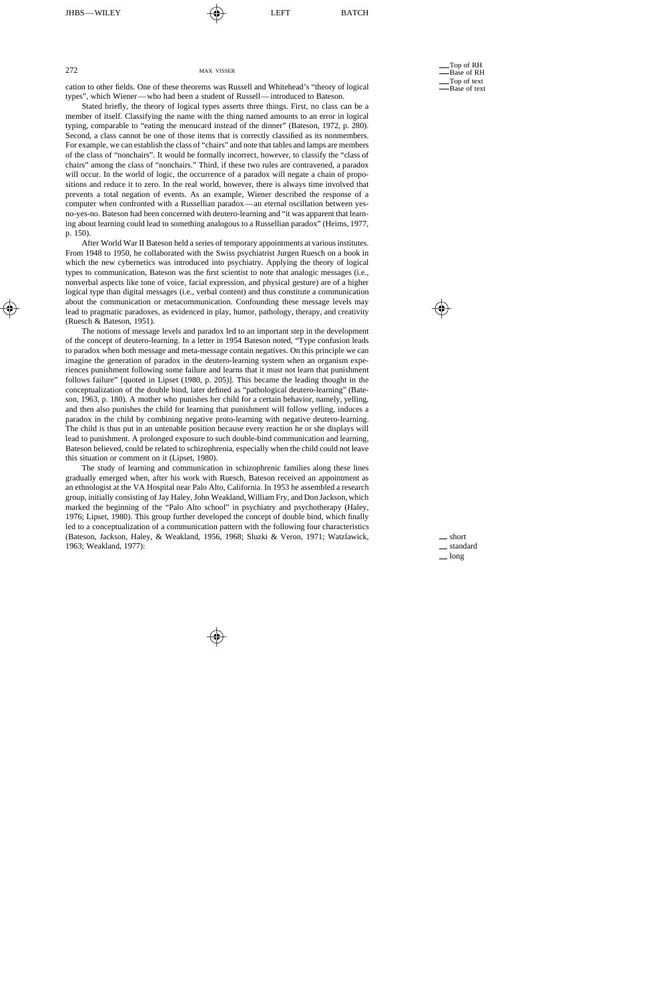cation to other fields. One of these theorems was Russell and Whitehead's "theory of logical types", which Wiener—who had been a student of Russell—introduced to Bateson.

Stated briefly, the theory of logical types asserts three things. First, no class can be a member of itself. Classifying the name with the thing named amounts to an error in logical typing, comparable to "eating the menucard instead of the dinner" (Bateson, 1972, p. 280). Second, a class cannot be one of those items that is correctly classified as its nonmembers. For example, we can establish the class of "chairs" and note that tables and lamps are members of the class of "nonchairs". It would be formally incorrect, however, to classify the "class of chairs" among the class of "nonchairs." Third, if these two rules are contravened, a paradox will occur. In the world of logic, the occurrence of a paradox will negate a chain of propositions and reduce it to zero. In the real world, however, there is always time involved that prevents a total negation of events. As an example, Wiener described the response of a computer when confronted with a Russellian paradox— an eternal oscillation between yesno-yes-no. Bateson had been concerned with deutero-learning and "it was apparent that learning about learning could lead to something analogous to a Russellian paradox" (Heims, 1977, p. 150).

After World War II Bateson held a series of temporary appointments at various institutes. From 1948 to 1950, he collaborated with the Swiss psychiatrist Jurgen Ruesch on a book in which the new cybernetics was introduced into psychiatry. Applying the theory of logical types to communication, Bateson was the first scientist to note that analogic messages (i.e., nonverbal aspects like tone of voice, facial expression, and physical gesture) are of a higher logical type than digital messages (i.e., verbal content) and thus constitute a communication about the communication or metacommunication. Confounding these message levels may lead to pragmatic paradoxes, as evidenced in play, humor, pathology, therapy, and creativity (Ruesch & Bateson, 1951).

The notions of message levels and paradox led to an important step in the development of the concept of deutero-learning. In a letter in 1954 Bateson noted, "Type confusion leads to paradox when both message and meta-message contain negatives. On this principle we can imagine the generation of paradox in the deutero-learning system when an organism experiences punishment following some failure and learns that it must not learn that punishment follows failure" [quoted in Lipset (1980, p. 205)]. This became the leading thought in the conceptualization of the double bind, later defined as "pathological deutero-learning" (Bateson, 1963, p. 180). A mother who punishes her child for a certain behavior, namely, yelling, and then also punishes the child for learning that punishment will follow yelling, induces a paradox in the child by combining negative proto-learning with negative deutero-learning. The child is thus put in an untenable position because every reaction he or she displays will lead to punishment. A prolonged exposure to such double-bind communication and learning, Bateson believed, could be related to schizophrenia, especially when the child could not leave this situation or comment on it (Lipset, 1980).

The study of learning and communication in schizophrenic families along these lines gradually emerged when, after his work with Ruesch, Bateson received an appointment as an ethnologist at the VA Hospital near Palo Alto, California. In 1953 he assembled a research group, initially consisting of Jay Haley, John Weakland, William Fry, and Don Jackson, which marked the beginning of the "Palo Alto school" in psychiatry and psychotherapy (Haley, 1976; Lipset, 1980). This group further developed the concept of double bind, which finally led to a conceptualization of a communication pattern with the following four characteristics (Bateson, Jackson, Haley, & Weakland, 1956, 1968; Sluzki & Veron, 1971; Watzlawick, 1963; Weakland, 1977):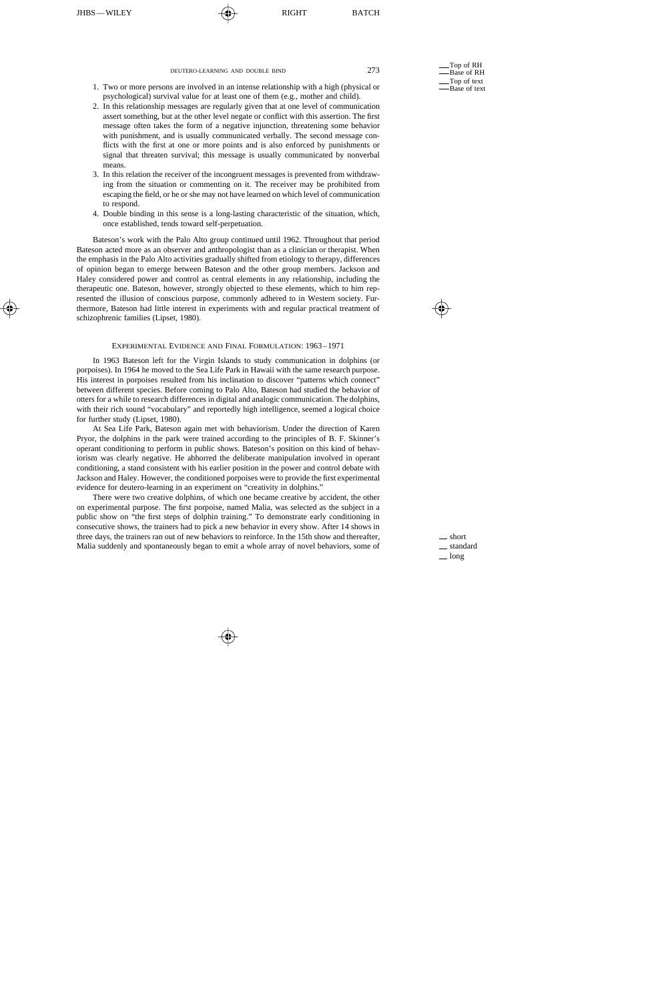- 1. Two or more persons are involved in an intense relationship with a high (physical or psychological) survival value for at least one of them (e.g., mother and child).
- 2. In this relationship messages are regularly given that at one level of communication assert something, but at the other level negate or conflict with this assertion. The first message often takes the form of a negative injunction, threatening some behavior with punishment, and is usually communicated verbally. The second message conflicts with the first at one or more points and is also enforced by punishments or signal that threaten survival; this message is usually communicated by nonverbal means.
- 3. In this relation the receiver of the incongruent messages is prevented from withdrawing from the situation or commenting on it. The receiver may be prohibited from escaping the field, or he or she may not have learned on which level of communication to respond.
- 4. Double binding in this sense is a long-lasting characteristic of the situation, which, once established, tends toward self-perpetuation.

Bateson's work with the Palo Alto group continued until 1962. Throughout that period Bateson acted more as an observer and anthropologist than as a clinician or therapist. When the emphasis in the Palo Alto activities gradually shifted from etiology to therapy, differences of opinion began to emerge between Bateson and the other group members. Jackson and Haley considered power and control as central elements in any relationship, including the therapeutic one. Bateson, however, strongly objected to these elements, which to him represented the illusion of conscious purpose, commonly adhered to in Western society. Furthermore, Bateson had little interest in experiments with and regular practical treatment of schizophrenic families (Lipset, 1980).

## EXPERIMENTAL EVIDENCE AND FINAL FORMULATION: 1963 – 1971

In 1963 Bateson left for the Virgin Islands to study communication in dolphins (or porpoises). In 1964 he moved to the Sea Life Park in Hawaii with the same research purpose. His interest in porpoises resulted from his inclination to discover "patterns which connect" between different species. Before coming to Palo Alto, Bateson had studied the behavior of otters for a while to research differences in digital and analogic communication. The dolphins, with their rich sound "vocabulary" and reportedly high intelligence, seemed a logical choice for further study (Lipset, 1980).

At Sea Life Park, Bateson again met with behaviorism. Under the direction of Karen Pryor, the dolphins in the park were trained according to the principles of B. F. Skinner's operant conditioning to perform in public shows. Bateson's position on this kind of behaviorism was clearly negative. He abhorred the deliberate manipulation involved in operant conditioning, a stand consistent with his earlier position in the power and control debate with Jackson and Haley. However, the conditioned porpoises were to provide the first experimental evidence for deutero-learning in an experiment on "creativity in dolphins."

There were two creative dolphins, of which one became creative by accident, the other on experimental purpose. The first porpoise, named Malia, was selected as the subject in a public show on "the first steps of dolphin training." To demonstrate early conditioning in consecutive shows, the trainers had to pick a new behavior in every show. After 14 shows in three days, the trainers ran out of new behaviors to reinforce. In the 15th show and thereafter, Malia suddenly and spontaneously began to emit a whole array of novel behaviors, some of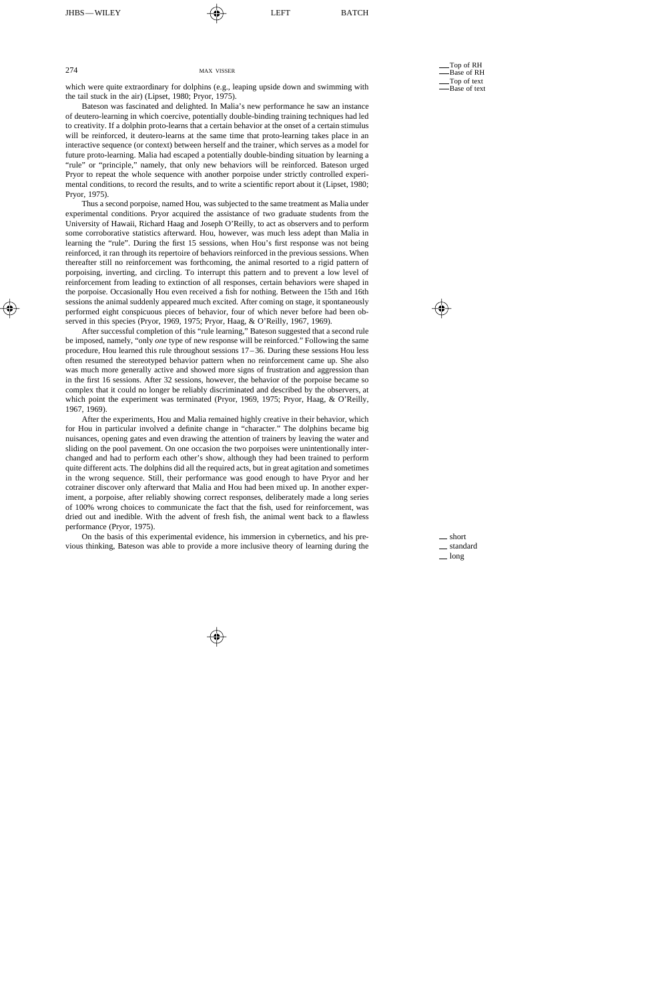which were quite extraordinary for dolphins (e.g., leaping upside down and swimming with the tail stuck in the air) (Lipset, 1980; Pryor, 1975).

Bateson was fascinated and delighted. In Malia's new performance he saw an instance of deutero-learning in which coercive, potentially double-binding training techniques had led to creativity. If a dolphin proto-learns that a certain behavior at the onset of a certain stimulus will be reinforced, it deutero-learns at the same time that proto-learning takes place in an interactive sequence (or context) between herself and the trainer, which serves as a model for future proto-learning. Malia had escaped a potentially double-binding situation by learning a "rule" or "principle," namely, that only new behaviors will be reinforced. Bateson urged Pryor to repeat the whole sequence with another porpoise under strictly controlled experimental conditions, to record the results, and to write a scientific report about it (Lipset, 1980; Pryor, 1975).

Thus a second porpoise, named Hou, was subjected to the same treatment as Malia under experimental conditions. Pryor acquired the assistance of two graduate students from the University of Hawaii, Richard Haag and Joseph O'Reilly, to act as observers and to perform some corroborative statistics afterward. Hou, however, was much less adept than Malia in learning the "rule". During the first 15 sessions, when Hou's first response was not being reinforced, it ran through its repertoire of behaviors reinforced in the previous sessions. When thereafter still no reinforcement was forthcoming, the animal resorted to a rigid pattern of porpoising, inverting, and circling. To interrupt this pattern and to prevent a low level of reinforcement from leading to extinction of all responses, certain behaviors were shaped in the porpoise. Occasionally Hou even received a fish for nothing. Between the 15th and 16th sessions the animal suddenly appeared much excited. After coming on stage, it spontaneously performed eight conspicuous pieces of behavior, four of which never before had been observed in this species (Pryor, 1969, 1975; Pryor, Haag, & O'Reilly, 1967, 1969).

After successful completion of this "rule learning," Bateson suggested that a second rule be imposed, namely, "only *one* type of new response will be reinforced." Following the same procedure, Hou learned this rule throughout sessions  $17 - 36$ . During these sessions Hou less often resumed the stereotyped behavior pattern when no reinforcement came up. She also was much more generally active and showed more signs of frustration and aggression than in the first 16 sessions. After 32 sessions, however, the behavior of the porpoise became so complex that it could no longer be reliably discriminated and described by the observers, at which point the experiment was terminated (Pryor, 1969, 1975; Pryor, Haag, & O'Reilly, 1967, 1969).

After the experiments, Hou and Malia remained highly creative in their behavior, which for Hou in particular involved a definite change in "character." The dolphins became big nuisances, opening gates and even drawing the attention of trainers by leaving the water and sliding on the pool pavement. On one occasion the two porpoises were unintentionally interchanged and had to perform each other's show, although they had been trained to perform quite different acts. The dolphins did all the required acts, but in great agitation and sometimes in the wrong sequence. Still, their performance was good enough to have Pryor and her cotrainer discover only afterward that Malia and Hou had been mixed up. In another experiment, a porpoise, after reliably showing correct responses, deliberately made a long series of 100% wrong choices to communicate the fact that the fish, used for reinforcement, was dried out and inedible. With the advent of fresh fish, the animal went back to a flawless performance (Pryor, 1975).

On the basis of this experimental evidence, his immersion in cybernetics, and his previous thinking, Bateson was able to provide a more inclusive theory of learning during the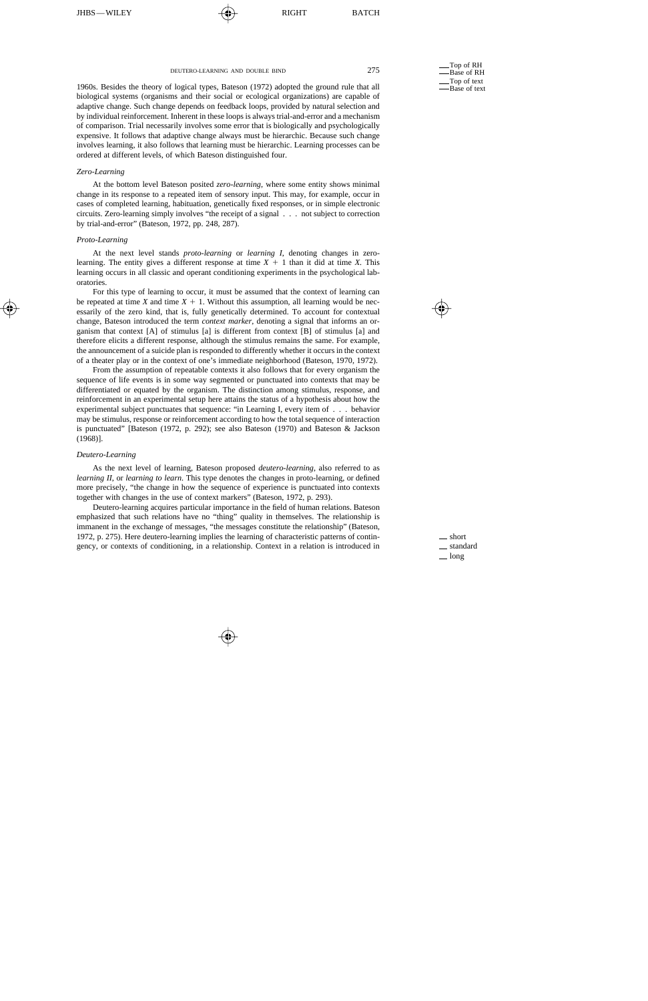1960s. Besides the theory of logical types, Bateson (1972) adopted the ground rule that all biological systems (organisms and their social or ecological organizations) are capable of adaptive change. Such change depends on feedback loops, provided by natural selection and by individual reinforcement. Inherent in these loops is always trial-and-error and a mechanism of comparison. Trial necessarily involves some error that is biologically and psychologically expensive. It follows that adaptive change always must be hierarchic. Because such change involves learning, it also follows that learning must be hierarchic. Learning processes can be ordered at different levels, of which Bateson distinguished four.

## *Zero-Learning*

At the bottom level Bateson posited *zero-learning*, where some entity shows minimal change in its response to a repeated item of sensory input. This may, for example, occur in cases of completed learning, habituation, genetically fixed responses, or in simple electronic circuits. Zero-learning simply involves "the receipt of a signal . . . not subject to correction by trial-and-error" (Bateson, 1972, pp. 248, 287).

## *Proto-Learning*

At the next level stands *proto-learning* or *learning I*, denoting changes in zerolearning. The entity gives a different response at time  $X + 1$  than it did at time *X*. This learning occurs in all classic and operant conditioning experiments in the psychological laboratories.

For this type of learning to occur, it must be assumed that the context of learning can be repeated at time *X* and time  $X + 1$ . Without this assumption, all learning would be necessarily of the zero kind, that is, fully genetically determined. To account for contextual change, Bateson introduced the term *context marker*, denoting a signal that informs an organism that context [A] of stimulus [a] is different from context [B] of stimulus [a] and therefore elicits a different response, although the stimulus remains the same. For example, the announcement of a suicide plan is responded to differently whether it occurs in the context of a theater play or in the context of one's immediate neighborhood (Bateson, 1970, 1972).

From the assumption of repeatable contexts it also follows that for every organism the sequence of life events is in some way segmented or punctuated into contexts that may be differentiated or equated by the organism. The distinction among stimulus, response, and reinforcement in an experimental setup here attains the status of a hypothesis about how the experimental subject punctuates that sequence: "in Learning I, every item of... behavior may be stimulus, response or reinforcement according to how the total sequence of interaction is punctuated" [Bateson (1972, p. 292); see also Bateson (1970) and Bateson & Jackson (1968)].

## *Deutero-Learning*

As the next level of learning, Bateson proposed *deutero-learning*, also referred to as *learning II*, or *learning to learn*. This type denotes the changes in proto-learning, or defined more precisely, "the change in how the sequence of experience is punctuated into contexts together with changes in the use of context markers" (Bateson, 1972, p. 293).

Deutero-learning acquires particular importance in the field of human relations. Bateson emphasized that such relations have no "thing" quality in themselves. The relationship is immanent in the exchange of messages, "the messages constitute the relationship" (Bateson, 1972, p. 275). Here deutero-learning implies the learning of characteristic patterns of contingency, or contexts of conditioning, in a relationship. Context in a relation is introduced in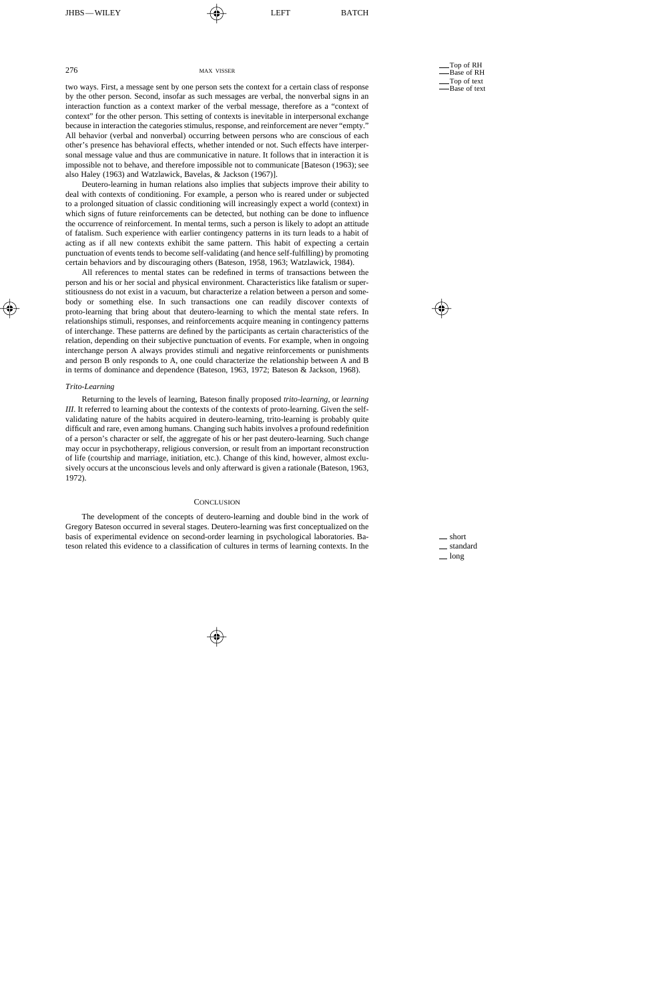two ways. First, a message sent by one person sets the context for a certain class of response by the other person. Second, insofar as such messages are verbal, the nonverbal signs in an interaction function as a context marker of the verbal message, therefore as a "context of context" for the other person. This setting of contexts is inevitable in interpersonal exchange because in interaction the categories stimulus, response, and reinforcement are never "empty." All behavior (verbal and nonverbal) occurring between persons who are conscious of each other's presence has behavioral effects, whether intended or not. Such effects have interpersonal message value and thus are communicative in nature. It follows that in interaction it is impossible not to behave, and therefore impossible not to communicate [Bateson (1963); see also Haley (1963) and Watzlawick, Bavelas, & Jackson (1967)].

Deutero-learning in human relations also implies that subjects improve their ability to deal with contexts of conditioning. For example, a person who is reared under or subjected to a prolonged situation of classic conditioning will increasingly expect a world (context) in which signs of future reinforcements can be detected, but nothing can be done to influence the occurrence of reinforcement. In mental terms, such a person is likely to adopt an attitude of fatalism. Such experience with earlier contingency patterns in its turn leads to a habit of acting as if all new contexts exhibit the same pattern. This habit of expecting a certain punctuation of events tends to become self-validating (and hence self-fulfilling) by promoting certain behaviors and by discouraging others (Bateson, 1958, 1963; Watzlawick, 1984).

All references to mental states can be redefined in terms of transactions between the person and his or her social and physical environment. Characteristics like fatalism or superstitiousness do not exist in a vacuum, but characterize a relation between a person and somebody or something else. In such transactions one can readily discover contexts of proto-learning that bring about that deutero-learning to which the mental state refers. In relationships stimuli, responses, and reinforcements acquire meaning in contingency patterns of interchange. These patterns are defined by the participants as certain characteristics of the relation, depending on their subjective punctuation of events. For example, when in ongoing interchange person A always provides stimuli and negative reinforcements or punishments and person B only responds to A, one could characterize the relationship between A and B in terms of dominance and dependence (Bateson, 1963, 1972; Bateson & Jackson, 1968).

# *Trito-Learning*

Returning to the levels of learning, Bateson finally proposed *trito-learning*, or *learning III*. It referred to learning about the contexts of the contexts of proto-learning. Given the selfvalidating nature of the habits acquired in deutero-learning, trito-learning is probably quite difficult and rare, even among humans. Changing such habits involves a profound redefinition of a person's character or self, the aggregate of his or her past deutero-learning. Such change may occur in psychotherapy, religious conversion, or result from an important reconstruction of life (courtship and marriage, initiation, etc.). Change of this kind, however, almost exclusively occurs at the unconscious levels and only afterward is given a rationale (Bateson, 1963, 1972).

### **CONCLUSION**

The development of the concepts of deutero-learning and double bind in the work of Gregory Bateson occurred in several stages. Deutero-learning was first conceptualized on the basis of experimental evidence on second-order learning in psychological laboratories. Bateson related this evidence to a classification of cultures in terms of learning contexts. In the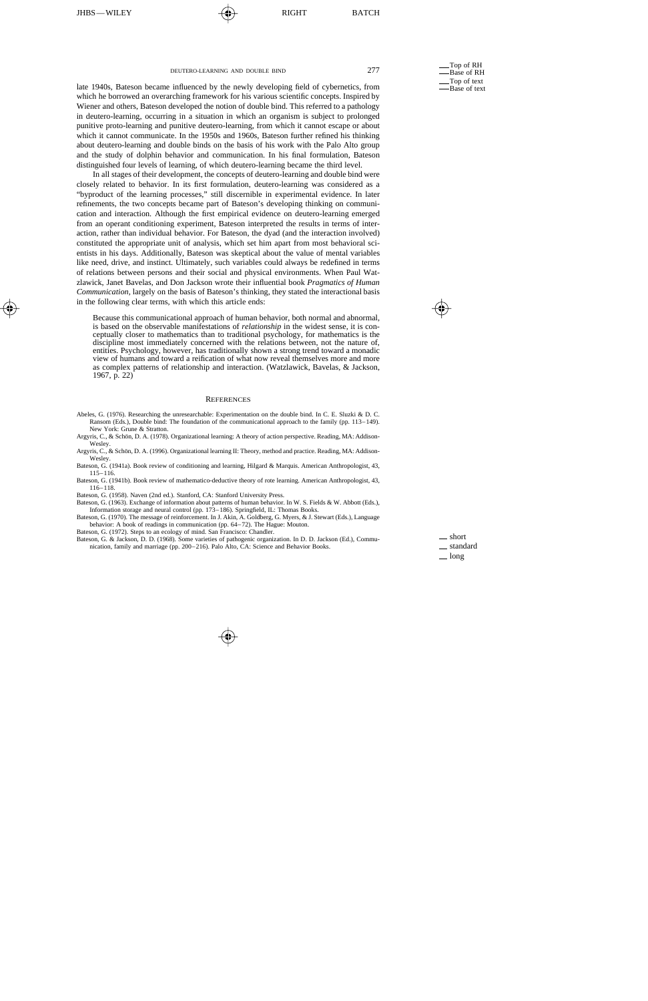late 1940s, Bateson became influenced by the newly developing field of cybernetics, from which he borrowed an overarching framework for his various scientific concepts. Inspired by Wiener and others, Bateson developed the notion of double bind. This referred to a pathology in deutero-learning, occurring in a situation in which an organism is subject to prolonged punitive proto-learning and punitive deutero-learning, from which it cannot escape or about which it cannot communicate. In the 1950s and 1960s, Bateson further refined his thinking about deutero-learning and double binds on the basis of his work with the Palo Alto group and the study of dolphin behavior and communication. In his final formulation, Bateson distinguished four levels of learning, of which deutero-learning became the third level.

In all stages of their development, the concepts of deutero-learning and double bind were closely related to behavior. In its first formulation, deutero-learning was considered as a "byproduct of the learning processes," still discernible in experimental evidence. In later refinements, the two concepts became part of Bateson's developing thinking on communication and interaction. Although the first empirical evidence on deutero-learning emerged from an operant conditioning experiment, Bateson interpreted the results in terms of interaction, rather than individual behavior. For Bateson, the dyad (and the interaction involved) constituted the appropriate unit of analysis, which set him apart from most behavioral scientists in his days. Additionally, Bateson was skeptical about the value of mental variables like need, drive, and instinct. Ultimately, such variables could always be redefined in terms of relations between persons and their social and physical environments. When Paul Watzlawick, Janet Bavelas, and Don Jackson wrote their influential book *Pragmatics of Human Communication,* largely on the basis of Bateson's thinking, they stated the interactional basis in the following clear terms, with which this article ends:

Because this communicational approach of human behavior, both normal and abnormal, is based on the observable manifestations of *relationship* in the widest sense, it is conceptually closer to mathematics than to traditional psychology, for mathematics is the discipline most immediately concerned with the relations between, not the nature of, entities. Psychology, however, has traditionally shown a strong trend toward a monadic view of humans and toward a reification of what now reveal themselves more and more as complex patterns of relationship and interaction. (Watzlawick, Bavelas, & Jackson, 1967, p. 22)

#### **REFERENCES**

- Abeles, G. (1976). Researching the unresearchable: Experimentation on the double bind. In C. E. Sluzki & D. C. Ransom (Eds.), Double bind: The foundation of the communicational approach to the family (pp. 113– 149). New York: Grune & Stratton.
- Argyris, C., & Schön, D. A. (1978). Organizational learning: A theory of action perspective. Reading, MA: Addison-Wesley.
- Argyris, C., & Schön, D. A. (1996). Organizational learning II: Theory, method and practice. Reading, MA: Addison-Wesley.
- Bateson, G. (1941a). Book review of conditioning and learning, Hilgard & Marquis. American Anthropologist, 43, 115– 116.
- Bateson, G. (1941b). Book review of mathematico-deductive theory of rote learning. American Anthropologist, 43, 116– 118.

Bateson, G. (1958). Naven (2nd ed.). Stanford, CA: Stanford University Press.

- Bateson, G. (1963). Exchange of information about patterns of human behavior. In W. S. Fields & W. Abbott (Eds.), Information storage and neural control (pp. 173– 186). Springfield, IL: Thomas Books.
- Bateson, G. (1970). The message of reinforcement. In J. Akin, A. Goldberg, G. Myers, & J. Stewart (Eds.), Language behavior: A book of readings in communication (pp.  $64-72$ ). The Hague: Mouton.

Bateson, G. (1972). Steps to an ecology of mind. San Francisco: Chandler.

Bateson, G. & Jackson, D. D. (1968). Some varieties of pathogenic organization. In D. D. Jackson (Ed.), Communication, family and marriage (pp. 200–216). Palo Alto, CA: Science and Behavior Books.